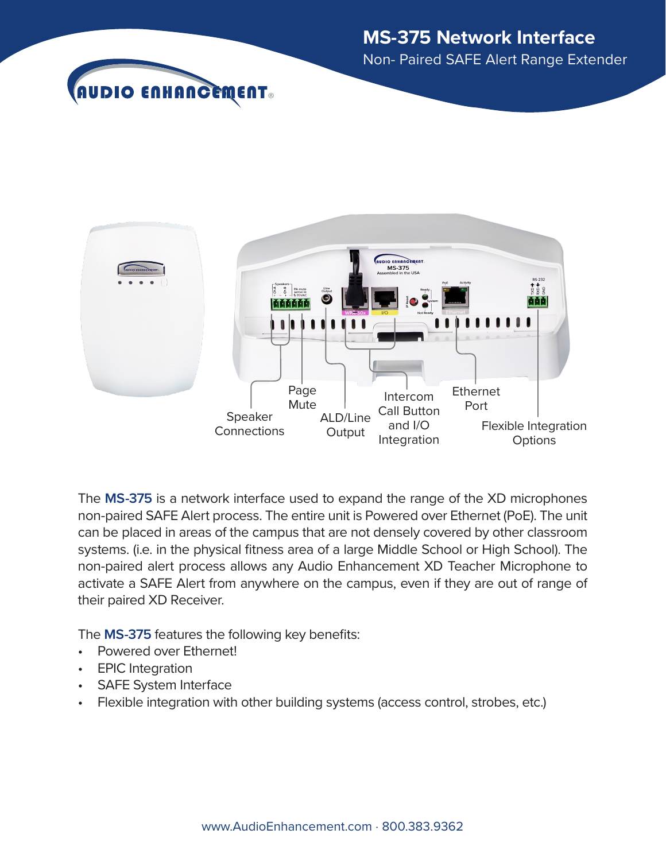



The **MS-375** is a network interface used to expand the range of the XD microphones non-paired SAFE Alert process. The entire unit is Powered over Ethernet (PoE). The unit can be placed in areas of the campus that are not densely covered by other classroom systems. (i.e. in the physical fitness area of a large Middle School or High School). The non-paired alert process allows any Audio Enhancement XD Teacher Microphone to activate a SAFE Alert from anywhere on the campus, even if they are out of range of their paired XD Receiver.

The **MS-375** features the following key benefits:

- Powered over Ethernet!
- EPIC Integration
- SAFE System Interface
- Flexible integration with other building systems (access control, strobes, etc.)